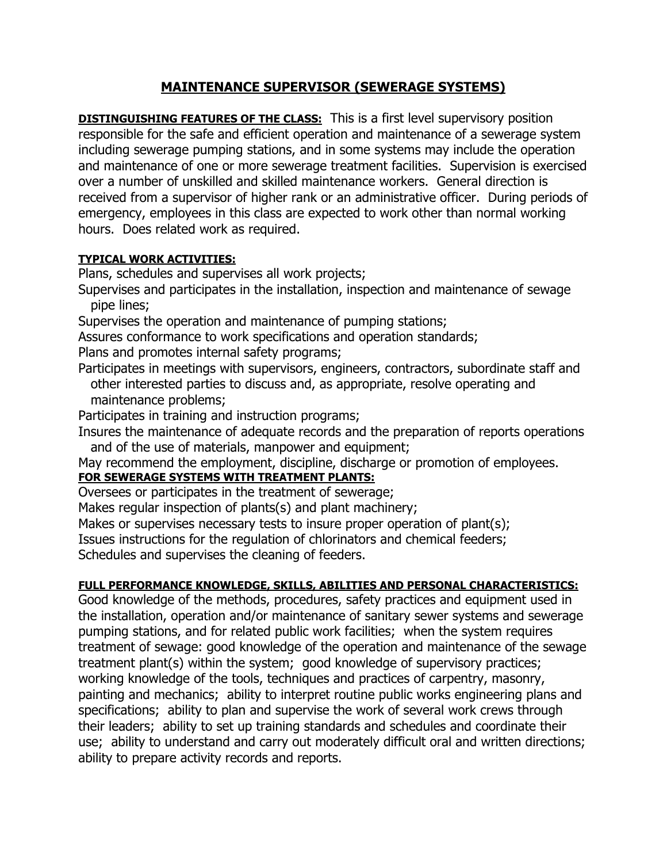## **MAINTENANCE SUPERVISOR (SEWERAGE SYSTEMS)**

**DISTINGUISHING FEATURES OF THE CLASS:** This is a first level supervisory position responsible for the safe and efficient operation and maintenance of a sewerage system including sewerage pumping stations, and in some systems may include the operation and maintenance of one or more sewerage treatment facilities. Supervision is exercised over a number of unskilled and skilled maintenance workers. General direction is received from a supervisor of higher rank or an administrative officer. During periods of emergency, employees in this class are expected to work other than normal working hours. Does related work as required.

## **TYPICAL WORK ACTIVITIES:**

Plans, schedules and supervises all work projects;

- Supervises and participates in the installation, inspection and maintenance of sewage pipe lines;
- Supervises the operation and maintenance of pumping stations;

Assures conformance to work specifications and operation standards;

Plans and promotes internal safety programs;

- Participates in meetings with supervisors, engineers, contractors, subordinate staff and other interested parties to discuss and, as appropriate, resolve operating and maintenance problems;
- Participates in training and instruction programs;

Insures the maintenance of adequate records and the preparation of reports operations and of the use of materials, manpower and equipment;

May recommend the employment, discipline, discharge or promotion of employees.

## **FOR SEWERAGE SYSTEMS WITH TREATMENT PLANTS:**

Oversees or participates in the treatment of sewerage;

Makes regular inspection of plants(s) and plant machinery;

Makes or supervises necessary tests to insure proper operation of plant(s);

Issues instructions for the regulation of chlorinators and chemical feeders;

Schedules and supervises the cleaning of feeders.

## **FULL PERFORMANCE KNOWLEDGE, SKILLS, ABILITIES AND PERSONAL CHARACTERISTICS:**

Good knowledge of the methods, procedures, safety practices and equipment used in the installation, operation and/or maintenance of sanitary sewer systems and sewerage pumping stations, and for related public work facilities; when the system requires treatment of sewage: good knowledge of the operation and maintenance of the sewage treatment plant(s) within the system; good knowledge of supervisory practices; working knowledge of the tools, techniques and practices of carpentry, masonry, painting and mechanics; ability to interpret routine public works engineering plans and specifications; ability to plan and supervise the work of several work crews through their leaders; ability to set up training standards and schedules and coordinate their use; ability to understand and carry out moderately difficult oral and written directions; ability to prepare activity records and reports.